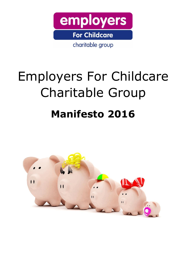

# Employers For Childcare Charitable Group **Manifesto 2016**

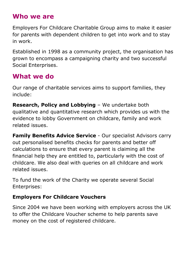### **Who we are**

Employers For Childcare Charitable Group aims to make it easier for parents with dependent children to get into work and to stay in work.

Established in 1998 as a community project, the organisation has grown to encompass a campaigning charity and two successful Social Enterprises.

### **What we do**

Our range of charitable services aims to support families, they include:

**Research, Policy and Lobbying** – We undertake both qualitative and quantitative research which provides us with the evidence to lobby Government on childcare, family and work related issues.

**Family Benefits Advice Service** - Our specialist Advisors carry out personalised benefits checks for parents and better off calculations to ensure that every parent is claiming all the financial help they are entitled to, particularly with the cost of childcare. We also deal with queries on all childcare and work related issues.

To fund the work of the Charity we operate several Social Enterprises:

### **Employers For Childcare Vouchers**

Since 2004 we have been working with employers across the UK to offer the Childcare Voucher scheme to help parents save money on the cost of registered childcare.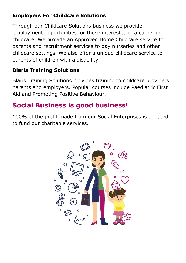### **Employers For Childcare Solutions**

Through our Childcare Solutions business we provide employment opportunities for those interested in a career in childcare. We provide an Approved Home Childcare service to parents and recruitment services to day nurseries and other childcare settings. We also offer a unique childcare service to parents of children with a disability.

### **Blaris Training Solutions**

Blaris Training Solutions provides training to childcare providers, parents and employers. Popular courses include Paediatric First Aid and Promoting Positive Behaviour.

### **Social Business is good business!**

100% of the profit made from our Social Enterprises is donated to fund our charitable services.

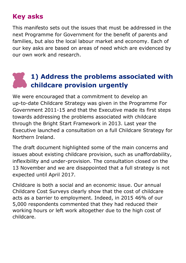### **Key asks**

This manifesto sets out the issues that must be addressed in the next Programme for Government for the benefit of parents and families, but also the local labour market and economy. Each of our key asks are based on areas of need which are evidenced by our own work and research.

### **1) Address the problems associated with childcare provision urgently**

We were encouraged that a commitment to develop an up-to-date Childcare Strategy was given in the Programme For Government 2011-15 and that the Executive made its first steps towards addressing the problems associated with childcare through the Bright Start Framework in 2013. Last year the Executive launched a consultation on a full Childcare Strategy for Northern Ireland.

The draft document highlighted some of the main concerns and issues about existing childcare provision, such as unaffordability, inflexibility and under-provision. The consultation closed on the 13 November and we are disappointed that a full strategy is not expected until April 2017.

Childcare is both a social and an economic issue. Our annual Childcare Cost Surveys clearly show that the cost of childcare acts as a barrier to employment. Indeed, in 2015 46% of our 5,000 respondents commented that they had reduced their working hours or left work altogether due to the high cost of childcare.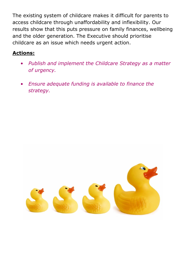The existing system of childcare makes it difficult for parents to access childcare through unaffordability and inflexibility. Our results show that this puts pressure on family finances, wellbeing and the older generation. The Executive should prioritise childcare as an issue which needs urgent action.

### **Actions:**

- *Publish and implement the Childcare Strategy as a matter of urgency.*
- *Ensure adequate funding is available to finance the strategy.*

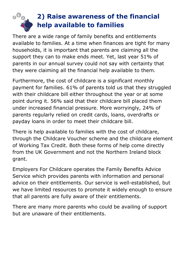

### **2) Raise awareness of the financial help available to families**

There are a wide range of family benefits and entitlements available to families. At a time when finances are tight for many households, it is important that parents are claiming all the support they can to make ends meet. Yet, last year 51% of parents in our annual survey could not say with certainty that they were claiming all the financial help available to them.

Furthermore, the cost of childcare is a significant monthly payment for families. 61% of parents told us that they struggled with their childcare bill either throughout the year or at some point during it. 56% said that their childcare bill placed them under increased financial pressure. More worryingly, 24% of parents regularly relied on credit cards, loans, overdrafts or payday loans in order to meet their childcare bill.

There is help available to families with the cost of childcare, through the Childcare Voucher scheme and the childcare element of Working Tax Credit. Both these forms of help come directly from the UK Government and not the Northern Ireland block grant.

Employers For Childcare operates the Family Benefits Advice Service which provides parents with information and personal advice on their entitlements. Our service is well-established, but we have limited resources to promote it widely enough to ensure that all parents are fully aware of their entitlements.

There are many more parents who could be availing of support but are unaware of their entitlements.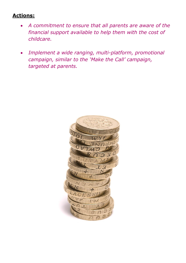#### **Actions:**

- *A commitment to ensure that all parents are aware of the financial support available to help them with the cost of childcare.*
- *Implement a wide ranging, multi-platform, promotional campaign, similar to the 'Make the Call' campaign, targeted at parents.*

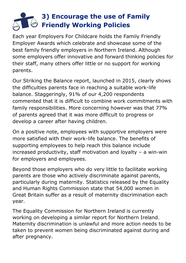### **3) Encourage the use of Family Friendly Working Policies**

Each year Employers For Childcare holds the Family Friendly Employer Awards which celebrate and showcase some of the best family friendly employers in Northern Ireland. Although some employers offer innovative and forward thinking policies for their staff, many others offer little or no support for working parents.

Our Striking the Balance report, launched in 2015, clearly shows the difficulties parents face in reaching a suitable work-life balance. Staggeringly, 91% of our 4,200 respondents commented that it is difficult to combine work commitments with family responsibilities. More concerning however was that 77% of parents agreed that it was more difficult to progress or develop a career after having children.

On a positive note, employees with supportive employers were more satisfied with their work-life balance. The benefits of supporting employees to help reach this balance include increased productivity, staff motivation and loyalty – a win-win for employers and employees.

Beyond those employers who do very little to facilitate working parents are those who actively discriminate against parents, particularly during maternity. Statistics released by the Equality and Human Rights Commission state that 54,000 women in Great Britain suffer as a result of maternity discrimination each year.

The Equality Commission for Northern Ireland is currently working on developing a similar report for Northern Ireland. Maternity discrimination is unlawful and more action needs to be taken to prevent women being discriminated against during and after pregnancy.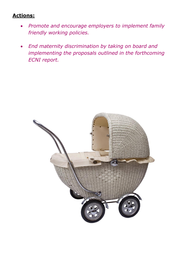#### **Actions:**

- *Promote and encourage employers to implement family friendly working policies.*
- *End maternity discrimination by taking on board and implementing the proposals outlined in the forthcoming ECNI report.*

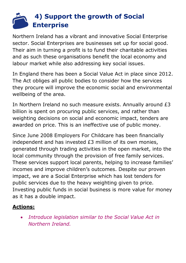### **4) Support the growth of Social Enterprise**

Northern Ireland has a vibrant and innovative Social Enterprise sector. Social Enterprises are businesses set up for social good. Their aim in turning a profit is to fund their charitable activities and as such these organisations benefit the local economy and labour market while also addressing key social issues.

In England there has been a Social Value Act in place since 2012. The Act obliges all public bodies to consider how the services they procure will improve the economic social and environmental wellbeing of the area.

In Northern Ireland no such measure exists. Annually around £3 billion is spent on procuring public services, and rather than weighting decisions on social and economic impact, tenders are awarded on price. This is an ineffective use of public money.

Since June 2008 Employers For Childcare has been financially independent and has invested £3 million of its own monies, generated through trading activities in the open market, into the local community through the provision of free family services. These services support local parents, helping to increase families' incomes and improve children's outcomes. Despite our proven impact, we are a Social Enterprise which has lost tenders for public services due to the heavy weighting given to price. Investing public funds in social business is more value for money as it has a double impact.

### **Actions:**

 *Introduce legislation similar to the Social Value Act in Northern Ireland.*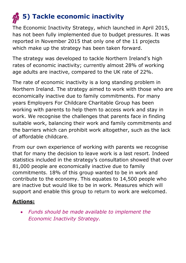## **5)** Tackle economic inactivity

The Economic Inactivity Strategy, which launched in April 2015, has not been fully implemented due to budget pressures. It was reported in November 2015 that only one of the 11 projects which make up the strategy has been taken forward.

The strategy was developed to tackle Northern Ireland's high rates of economic inactivity; currently almost 28% of working age adults are inactive, compared to the UK rate of 22%.

The rate of economic inactivity is a long standing problem in Northern Ireland. The strategy aimed to work with those who are economically inactive due to family commitments. For many years Employers For Childcare Charitable Group has been working with parents to help them to access work and stay in work. We recognise the challenges that parents face in finding suitable work, balancing their work and family commitments and the barriers which can prohibit work altogether, such as the lack of affordable childcare.

From our own experience of working with parents we recognise that for many the decision to leave work is a last resort. Indeed statistics included in the strategy's consultation showed that over 81,000 people are economically inactive due to family commitments. 18% of this group wanted to be in work and contribute to the economy. This equates to 14,500 people who are inactive but would like to be in work. Measures which will support and enable this group to return to work are welcomed.

### **Actions:**

 *Funds should be made available to implement the Economic Inactivity Strategy.*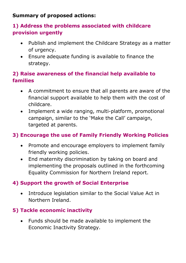#### **Summary of proposed actions:**

### **1) Address the problems associated with childcare provision urgently**

- Publish and implement the Childcare Strategy as a matter of urgency.
- Ensure adequate funding is available to finance the strategy.

### **2) Raise awareness of the financial help available to families**

- A commitment to ensure that all parents are aware of the financial support available to help them with the cost of childcare.
- Implement a wide ranging, multi-platform, promotional campaign, similar to the 'Make the Call' campaign, targeted at parents.

### **3) Encourage the use of Family Friendly Working Policies**

- Promote and encourage employers to implement family friendly working policies.
- End maternity discrimination by taking on board and implementing the proposals outlined in the forthcoming Equality Commission for Northern Ireland report.

### **4) Support the growth of Social Enterprise**

 Introduce legislation similar to the Social Value Act in Northern Ireland.

### **5) Tackle economic inactivity**

 Funds should be made available to implement the Economic Inactivity Strategy.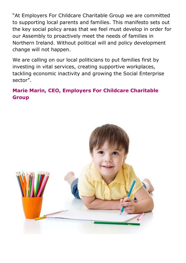"At Employers For Childcare Charitable Group we are committed to supporting local parents and families. This manifesto sets out the key social policy areas that we feel must develop in order for our Assembly to proactively meet the needs of families in Northern Ireland. Without political will and policy development change will not happen.

We are calling on our local politicians to put families first by investing in vital services, creating supportive workplaces, tackling economic inactivity and growing the Social Enterprise sector".

### **Marie Marin, CEO, Employers For Childcare Charitable Group**